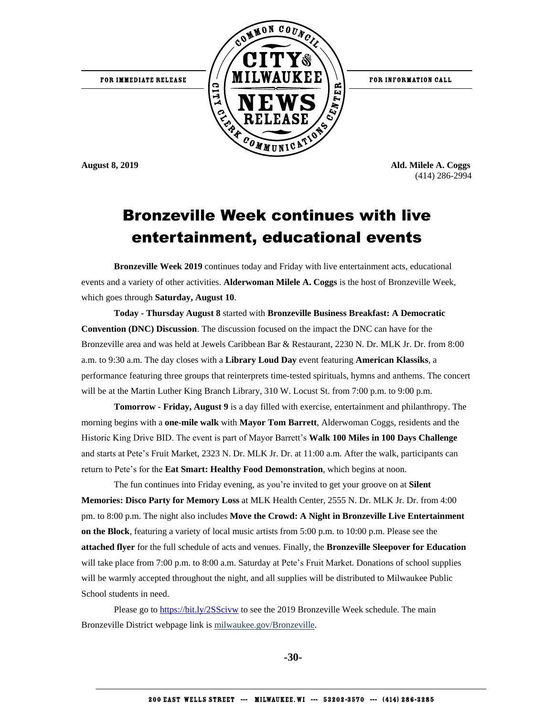FOR IMMEDIATE RELEASE



FOR INFORMATION CALL

**August 8, 2019 Ald. Milele A. Coggs** (414) 286-2994

#### Bronzeville Week continues with live entertainment, educational events

**Bronzeville Week 2019** continues today and Friday with live entertainment acts, educational events and a variety of other activities. **Alderwoman Milele A. Coggs** is the host of Bronzeville Week, which goes through **Saturday, August 10**.

**Today - Thursday August 8** started with **Bronzeville Business Breakfast: A Democratic Convention (DNC) Discussion**. The discussion focused on the impact the DNC can have for the Bronzeville area and was held at Jewels Caribbean Bar & Restaurant, 2230 N. Dr. MLK Jr. Dr. from 8:00 a.m. to 9:30 a.m. The day closes with a **Library Loud Day** event featuring **American Klassiks**, a performance featuring three groups that reinterprets time-tested spirituals, hymns and anthems. The concert will be at the Martin Luther King Branch Library, 310 W. Locust St. from 7:00 p.m. to 9:00 p.m.

**Tomorrow - Friday, August 9** is a day filled with exercise, entertainment and philanthropy. The morning begins with a **one-mile walk** with **Mayor Tom Barrett**, Alderwoman Coggs, residents and the Historic King Drive BID. The event is part of Mayor Barrett's **Walk 100 Miles in 100 Days Challenge**  and starts at Pete's Fruit Market, 2323 N. Dr. MLK Jr. Dr. at 11:00 a.m. After the walk, participants can return to Pete's for the **Eat Smart: Healthy Food Demonstration**, which begins at noon.

The fun continues into Friday evening, as you're invited to get your groove on at **Silent Memories: Disco Party for Memory Loss** at MLK Health Center, 2555 N. Dr. MLK Jr. Dr. from 4:00 pm. to 8:00 p.m. The night also includes **Move the Crowd: A Night in Bronzeville Live Entertainment on the Block**, featuring a variety of local music artists from 5:00 p.m. to 10:00 p.m. Please see the **attached flyer** for the full schedule of acts and venues. Finally, the **Bronzeville Sleepover for Education** will take place from 7:00 p.m. to 8:00 a.m. Saturday at Pete's Fruit Market. Donations of school supplies will be warmly accepted throughout the night, and all supplies will be distributed to Milwaukee Public School students in need.

Please go to<https://bit.ly/2SScivw> to see the 2019 Bronzeville Week schedule. The main Bronzeville District webpage link is milwaukee.gov/Bronzeville.

**-30-**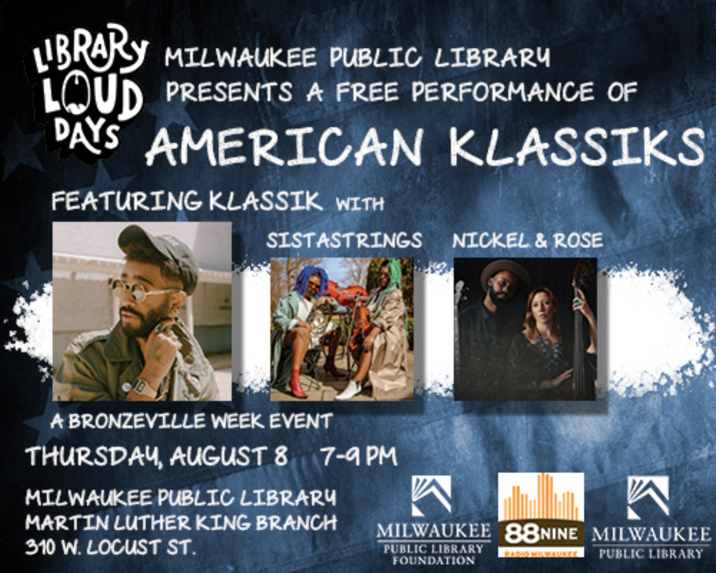### MILWAUKEE PUBLIC LIBRARY PRESENTS A FREE PERFORMANCE OF AMERICAN KLASSIKS

#### FEATURING KLASSIK WITH



**SISTASTRINGS NICKEL & ROSE** 

A BRONZEVILLE WEEK EVENT THURSDAY AUGUST 8 7-9 PM

MILWAUKEE PUBLIC LIBRARY **MARTIN LUTHER KING BRANCH** 310 W. LOCUST ST.